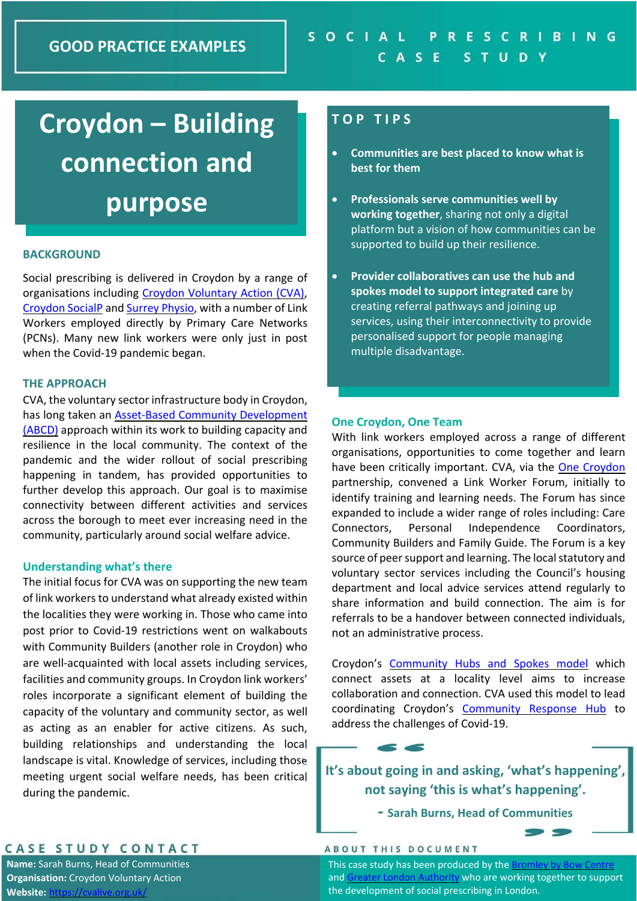# **Croydon – Building connection and purpose**

### **BACKGROUND**

Social prescribing is delivered in Croydon by a range of organisations including Croydon Voluntary Action (CVA), Croydon SocialP and Surrey Physio, with a number of Link Workers employed directly by Primary Care Networks (PCNs). Many new link workers were only just in post when the Covid‐19 pandemic began.

#### **THE APPROACH**

CVA, the voluntary sector infrastructure body in Croydon, has long taken an **Asset-Based Community Development** (ABCD) approach within its work to building capacity and resilience in the local community. The context of the pandemic and the wider rollout of social prescribing happening in tandem, has provided opportunities to further develop this approach. Our goal is to maximise connectivity between different activities and services across the borough to meet ever increasing need in the community, particularly around social welfare advice.

#### **Understanding what's there**

The initial focus for CVA was on supporting the new team of link workers to understand what already existed within the localities they were working in. Those who came into post prior to Covid-19 restrictions went on walkabouts with Community Builders (another role in Croydon) who are well-acquainted with local assets including services, facilities and community groups. In Croydon link workers' roles incorporate a significant element of building the capacity of the voluntary and community sector, as well as acting as an enabler for active citizens. As such, building relationships and understanding the local landscape is vital. Knowledge of services, including those meeting urgent social welfare needs, has been critical during the pandemic.

## **T O P T I P S**

- **Communities are best placed to know what is best for them**
- **Professionals serve communities well by working together**, sharing not only a digital platform but a vision of how communities can be supported to build up their resilience.
- **Provider collaboratives can use the hub and spokes model to support integrated care** by creating referral pathways and joining up services, using their interconnectivity to provide personalised support for people managing multiple disadvantage.

#### **One Croydon, One Team**

With link workers employed across a range of different organisations, opportunities to come together and learn have been critically important. CVA, via the One Croydon partnership, convened a Link Worker Forum, initially to identify training and learning needs. The Forum has since expanded to include a wider range of roles including: Care Connectors, Personal Independence Coordinators, Community Builders and Family Guide. The Forum is a key source of peer support and learning. The local statutory and voluntary sector services including the Council's housing department and local advice services attend regularly to share information and build connection. The aim is for referrals to be a handover between connected individuals, not an administrative process.

Croydon's Community Hubs and Spokes model which connect assets at a locality level aims to increase collaboration and connection. CVA used this model to lead coordinating Croydon's Community Response Hub to address the challenges of Covid‐19.

**It's about going in and asking, 'what's happening', not saying 'this is what's happening'.** 

**‐ Sarah Burns, Head of Communities**

### ABOUT THIS DOCUMENT

CASE STUDY CONTACT

**Name:** Sarah Burns, Head of Communities **Organisation:** Croydon Voluntary Action  $W$ ebsite:

This case study has been produced by the Bromley by Boy and Greater London Authority who are working together to support the development of social prescribing in London.